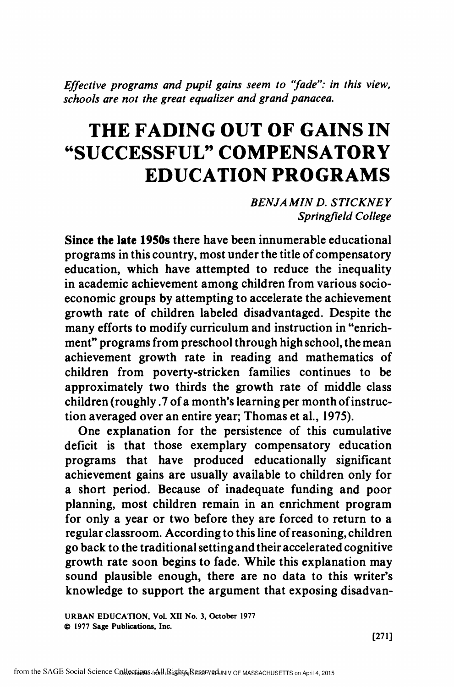Effective programs and pupil gains seem to "fade": in this view, schools are not the great equalizer and grand panacea.

# THE FADING OUT OF GAINS IN "SUCCESSFUL" COMPENSATORY EDUCATION PROGRAMS

BENJAMIN D. STICKNEY Springfield College

Since the late 1950s there have been innumerable educational programs in this country, most under the title of compensatory education, which have attempted to reduce the inequality in academic achievement among children from various socioeconomic groups by attempting to accelerate the achievement growth rate of children labeled disadvantaged. Despite the many efforts to modify curriculum and instruction in "enrichment" programs from preschool through high school, the mean achievement growth rate in reading and mathematics of children from poverty-stricken families continues to be approximately two thirds the growth rate of middle class children (roughly .7 of a month's learning per month of instruction averaged over an entire year; Thomas et al., 1975).

One explanation for the persistence of this cumulative deficit is that those exemplary compensatory education programs that have produced educationally significant achievement gains are usually available to children only for a short period. Because of inadequate funding and poor planning, most children remain in an enrichment program for only a year or two before they are forced to return to a regular classroom. According to this line of reasoning, children go back to the traditional setting and their accelerated cognitive growth rate soon begins to fade. While this explanation may sound plausible enough, there are no data to this writer's knowledge to support the argument that exposing disadvan-

URBAN EDUCATION, Vol. XII No. 3, October 1977 © 1977 Sage Publications, Inc.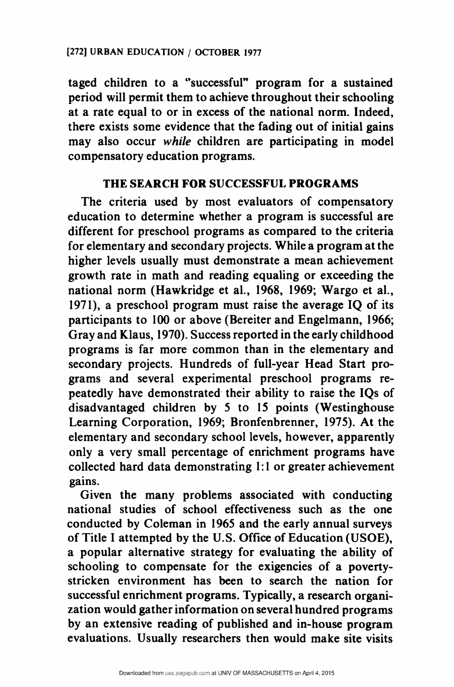taged children to a "successful" program for a sustained period will permit them to achieve throughout their schooling at a rate equal to or in excess of the national norm. Indeed, there exists some evidence that the fading out of initial gains may also occur while children are participating in model compensatory education programs.

## THE SEARCH FOR SUCCESSFUL PROGRAMS

The criteria used by most evaluators of compensatory education to determine whether a program is successful are different for preschool programs as compared to the criteria for elementary and secondary projects. While a program at the higher levels usually must demonstrate a mean achievement growth rate in math and reading equaling or exceeding the national norm (Hawkridge et al., 1968, 1969; Wargo et al., 1971), a preschool program must raise the average IQ of its participants to 100 or above (Bereiter and Engelmann, 1966; Gray and Klaus, 1970). Success reported in the early childhood programs is far more common than in the elementary and secondary projects. Hundreds of full-year Head Start programs and several experimental preschool programs repeatedly have demonstrated their ability to raise the IQs of disadvantaged children by 5 to 15 points (Westinghouse Learning Corporation, 1969; Bronfenbrenner, 1975). At the elementary and secondary school levels, however, apparently only a very small percentage of enrichment programs have collected hard data demonstrating 1:1 or greater achievement gains.

Given the many problems associated with conducting national studies of school effectiveness such as the one conducted by Coleman in 1965 and the early annual surveys of Title I attempted by the U.S. Office of Education (USOE), a popular alternative strategy for evaluating the ability of schooling to compensate for the exigencies of a povertystricken environment has been to search the nation for successful enrichment programs. Typically, a research organization would gather information on several hundred programs by an extensive reading of published and in-house program evaluations. Usually researchers then would make site visits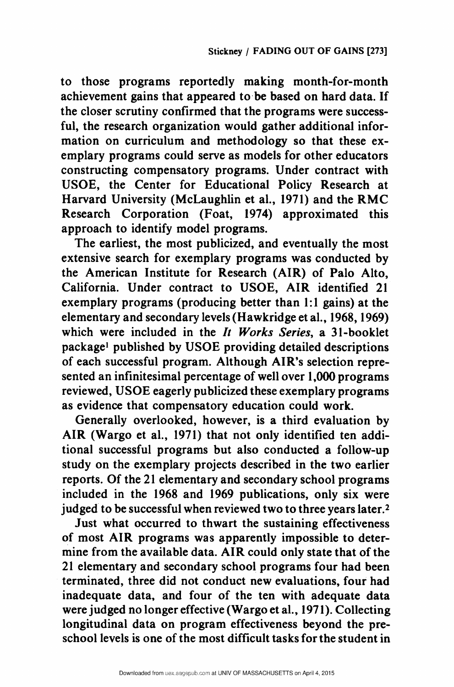to those programs reportedly making month-for-month achievement gains that appeared tobe based on hard data. If the closer scrutiny confirmed that the programs were successful, the research organization would gather additional information on curriculum and methodology so that these exemplary programs could serve as models for other educators constructing compensatory programs. Under contract with USOE, the Center for Educational Policy Research at Harvard University (McLaughlin et al., 1971) and the RMC Research Corporation (Foat, 1974) approximated this approach to identify model programs.

The earliest, the most publicized, and eventually the most extensive search for exemplary programs was conducted by the American Institute for Research (AIR) of Palo Alto, California. Under contract to USOE, AIR identified 21 exemplary programs (producing better than 1:1 gains) at the elementary and secondary levels (Hawkridge et al., 1968, 1969) which were included in the *It Works Series*, a 31-booklet package! published by USOE providing detailed descriptions of each successful program. Although AIR's selection represented an infinitesimal percentage of well over 1,000 programs reviewed, USOE eagerly publicized these exemplary programs as evidence that compensatory education could work.

Generally overlooked, however, is a third evaluation by AIR (Wargo et al., 1971) that not only identified ten additional successful programs but also conducted a follow-up study on the exemplary projects described in the two earlier reports. Of the 21 elementary and secondary school programs included in the 1968 and 1969 publications, only six were judged to be successful when reviewed two to three years later.<sup>2</sup>

Just what occurred to thwart the sustaining effectiveness of most AIR programs was apparently impossible to determine from the available data. AIR could only state that of the 21 elementary and secondary school programs four had been terminated, three did not conduct new evaluations, four had inadequate data, and four of the ten with adequate data were judged no longer effective (Wargo et al., 1971). Collecting longitudinal data on program effectiveness beyond the preschool levels is one of the most difficult tasks for the student in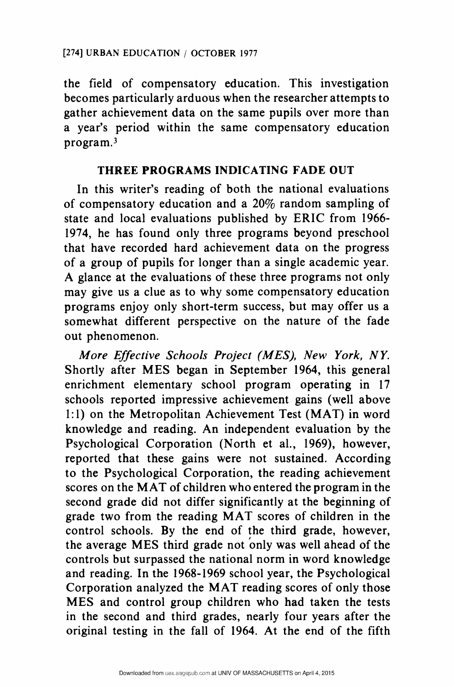the field of compensatory education. This investigation becomes particularly arduous when the researcher attempts to gather achievement data on the same pupils over more than a year's period within the same compensatory education program.

## THREE PROGRAMS INDICATING FADE OUT

In this writer's reading of both the national evaluations of compensatory education and a 20% random sampling of state and local evaluations published by ERIC from 1966- 1974, he has found only three programs beyond preschool that have recorded hard achievement data on the progress of a group of pupils for longer than a single academic year. A glance at the evaluations of these three programs not only may give us a clue as to why some compensatory education programs enjoy only short-term success, but may offer us a somewhat different perspective on the nature of the fade out phenomenon.

More Effective Schools Project (MES), New York, NY. Shortly after MES began in September 1964, this general enrichment elementary school program operating in 17 schools reported impressive achievement gains (well above 1:1) on the Metropolitan Achievement Test (MAT) in word knowledge and reading. An independent evaluation by the Psychological Corporation (North et al., 1969), however, reported that these gains were not sustained. According to the Psychological Corporation, the reading achievement scores on the MAT of children who entered the program in the second grade did not differ significantly at the beginning of grade two from the reading MAT scores of children in the control schools. By the end of the third grade, however, the average MES third grade not only was well ahead of the controls but surpassed the national norm in word knowledge and reading. In the 1968-1969 school year, the Psychological Corporation analyzed the MAT reading scores of only those MES and control group children who had taken the tests in the second and third grades, nearly four years after the original testing in the fall of 1964. At the end of the fifth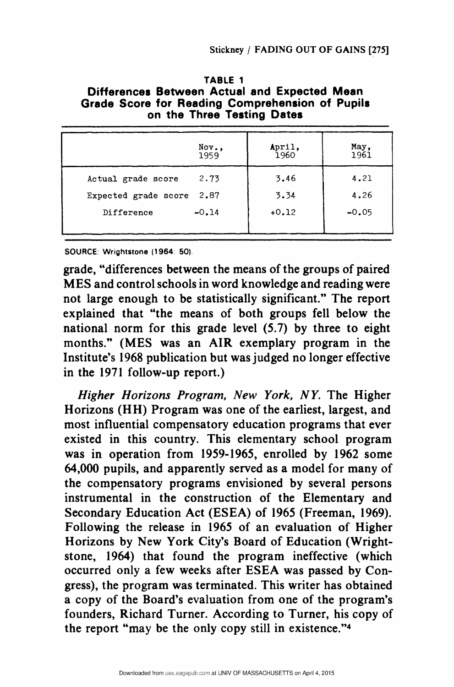| TABLE 1                                                                                                                       | Stickney / FADING OUT OF GAINS [275] |                         |  |
|-------------------------------------------------------------------------------------------------------------------------------|--------------------------------------|-------------------------|--|
| Differences Between Actual and Expected Mean<br>Grade Score for Reading Comprehension of Pupils<br>on the Three Testing Dates |                                      |                         |  |
| Nov.,<br>1959                                                                                                                 | April,<br>1960                       | May,<br>1961            |  |
| Actual grade score<br>2.73<br>2.87<br>Expected grade score<br>$-0.14$<br>Difference                                           | 3.46<br>3.34<br>$+0.12$              | 4.21<br>4.26<br>$-0.05$ |  |

| TABLE 1<br>Differences Between Actual and Expected Mean<br>Grade Score for Reading Comprehension of Pupils<br>on the Three Testing Dates |
|------------------------------------------------------------------------------------------------------------------------------------------|
| Stickney / FADING OUT OF GAINS [                                                                                                         |
|                                                                                                                                          |
|                                                                                                                                          |
|                                                                                                                                          |
|                                                                                                                                          |
|                                                                                                                                          |
|                                                                                                                                          |
|                                                                                                                                          |
|                                                                                                                                          |

SOURCE: Wrightstone (1964: 50).

grade, "differences between the means of the groups of paired MES and control schools in word knowledge and reading were not large enough to be statistically significant." The report explained that "the means of both groups fell below the national norm for this grade level (5.7) by three to eight months." (MES was an AIR exemplary program in the Institute's 1968 publication but was judged no longer effective in the 1971 follow-up report.)

Higher Horizons Program, New York, NY. The Higher Horizons (HH) Program was one of the earliest, largest, and most influential compensatory education programs that ever existed in this country. This elementary school program was in operation from 1959-1965, enrolled by 1962 some 64,000 pupils, and apparently served as a model for many of the compensatory programs envisioned by several persons instrumental in the construction of the Elementary and Secondary Education Act (ESEA) of 1965 (Freeman, 1969). Following the release in 1965 of an evaluation of Higher Horizons by New York City's Board of Education (Wrightstone, 1964) that found the program ineffective (which occurred only a few weeks after ESEA was passed by Congress), the program was terminated. This writer has obtained a copy of the Board's evaluation from one of the program's founders, Richard Turner. According to Turner, his copy of the report "may be the only copy still in existence."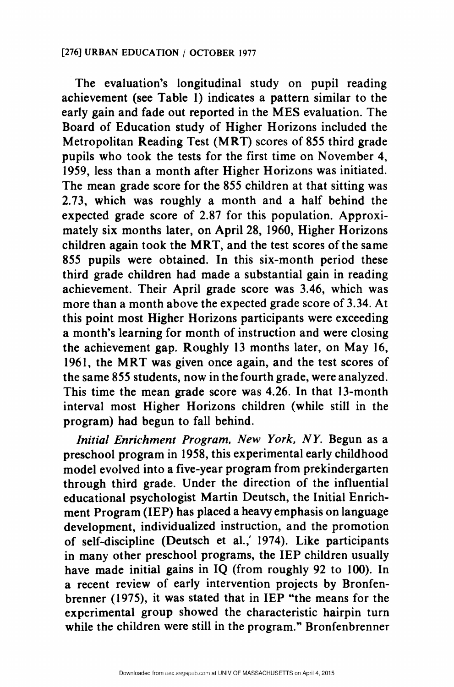The evaluation's longitudinal study on pupil reading achievement (see Table 1) indicates a pattern similar to the early gain and fade out reported in the MES evaluation. The Board of Education study of Higher Horizons included the Metropolitan Reading Test (MRT) scores of 855 third grade pupils who took the tests for the first time on November 4, 1959, less than a month after Higher Horizons was initiated. The mean grade score for the 855 children at that sitting was 2.73, which was roughly a month and a half behind the expected grade score of 2.87 for this population. Approximately six months later, on April 28, 1960, Higher Horizons children again took the MRT, and the test scores of the same 855 pupils were obtained. In this six-month period these third grade children had made a substantial gain in reading achievement. Their April grade score was 3.46, which was more than a month above the expected grade score of 3.34. At this point most Higher Horizons participants were exceeding a month's learning for month of instruction and were closing the achievement gap. Roughly 13 months later, on May 16, 1961, the MRT was given once again, and the test scores of the same 855 students, now in the fourth grade, were analyzed. This time the mean grade score was 4.26. In that 13-month interval most Higher Horizons children (while still in the program) had begun to fall behind.

Initial Enrichment Program, New York, NY. Begun as a preschool program in 1958, this experimental early childhood model evolved into a five-year program from prekindergarten through third grade. Under the direction of the influential educational psychologist Martin Deutsch, the Initial Enrichment Program (IEP) has placed a heavy emphasis on language development, individualized instruction, and the promotion of self-discipline (Deutsch et al., 1974). Like participants in many other preschool programs, the IEP children usually have made initial gains in IQ (from roughly 92 to 100). In a recent review of early intervention projects by Bronfenbrenner (1975), it was stated that in IEP "the means for the experimental group showed the characteristic hairpin turn while the children were still in the program." Bronfenbrenner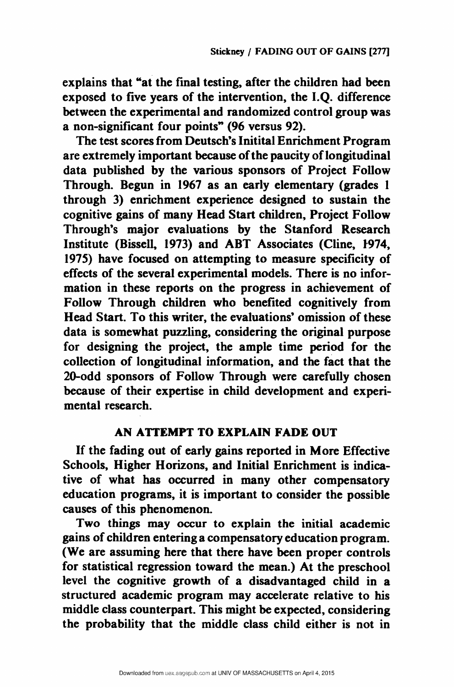explains that "at the final testing, after the children had been exposed to five years of the intervention, the I.Q. difference between the experimental and randomized control group was a non-significant four points" (96 versus 92).

The test scores from Deutsch's Initital Enrichment Program are extremely important because of the paucity of longitudinal data published by the various sponsors of Project Follow Through. Begun in 1967 as an early elementary (grades 1 through 3) enrichment experience designed to sustain the cognitive gains of many Head Start children, Project Follow Through's major evaluations by the Stanford Research Institute (Bissell, 1973) and ABT Associates (Cline, 1974, 1975) have focused on attempting to measure specificity of effects of the several experimental models. There is no information in these reports on the progress in achievement of Follow Through children who benefited cognitively from Head Start. To this writer, the evaluations' omission of these data is somewhat puzzling, considering the original purpose for designing the project, the ample time period for the collection of longitudinal information, and the fact that the 20-odd sponsors of Follow Through were carefully chosen because of their expertise in child development and experimental research.

#### AN ATTEMPT TO EXPLAIN FADE OUT

If the fading out of early gains reported in More Effective Schools, Higher Horizons, and Initial Enrichment is indicative of what has occurred in many other compensatory education programs, it is important to consider the possible causes of this phenomenon.

Two things may occur to explain the initial academic gains of children entering a compensatory education program. (We are assuming here that there have been proper controls for statistical regression toward the mean.) At the preschool level the cognitive growth of a disadvantaged child in a structured academic program may accelerate relative to his middle class counterpart. This might be expected, considering the probability that the middle class child either is not in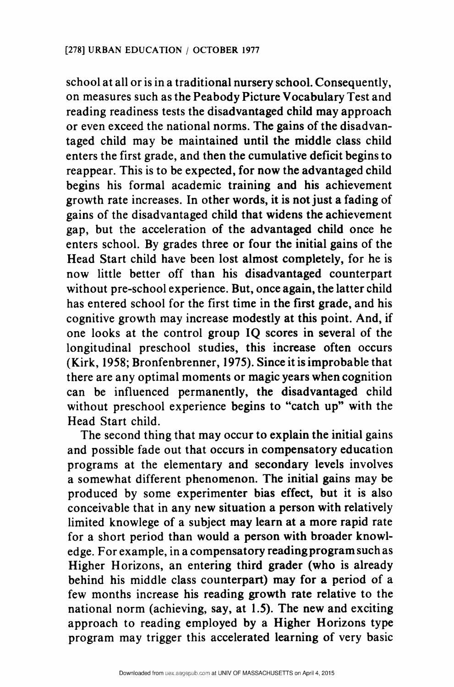school at all or is in a traditional nursery school. Consequently, on measures such as the Peabody Picture Vocabulary Test and reading readiness tests the disadvantaged child may approach or even exceed the national norms. The gains of the disadvantaged child may be maintained until the middle class child enters the first grade, and then the cumulative deficit begins to reappear. This is to be expected, for now the advantaged child begins his formal academic training and his achievement growth rate increases. In other words, it is not just a fading of gains of the disadvantaged child that widens the achievement gap, but the acceleration of the advantaged child once he enters school. By grades three or four the initial gains of the Head Start child have been lost almost completely, for he is now little better off than his disadvantaged counterpart without pre-school experience. But, once again, the latter child has entered school for the first time in the first grade, and his cognitive growth may increase modestly at this point. And, if one looks at the control group IQ scores in several of the longitudinal preschool studies, this increase often occurs (Kirk, 1958; Bronfenbrenner, 1975). Since it is improbable that there are any optimal moments or magic years when cognition can be influenced permanently, the disadvantaged child without preschool experience begins to "catch up" with the Head Start child.

The second thing that may occur to explain the initial gains and possible fade out that occurs in compensatory education programs at the elementary and secondary levels involves a somewhat different phenomenon. The initial gains may be produced by some experimenter bias effect, but it is also conceivable that in any new situation a person with relatively limited knowlege of a subject may learn at a more rapid rate for a short period than would a person with broader knowledge. For example, in a compensatory reading program such as Higher Horizons, an entering third grader (who is already behind his middle class counterpart) may for a period of a few months increase his reading growth rate relative to the national norm (achieving, say, at 1.5). The new and exciting approach to reading employed by a Higher Horizons type program may trigger this accelerated learning of very basic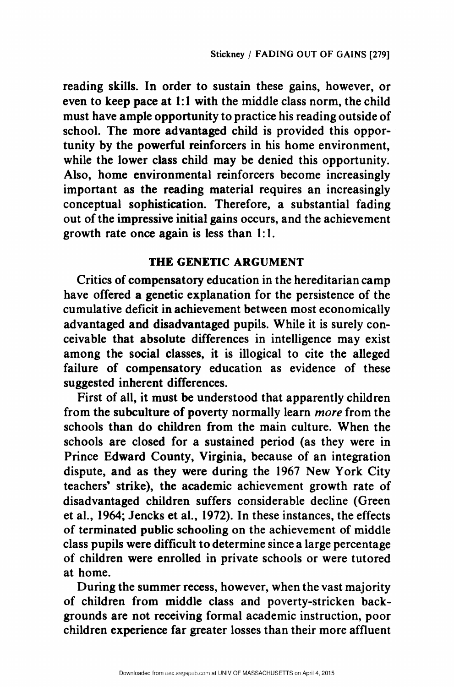reading skills. In order to sustain these gains, however, or even to keep pace at 1:1 with the middle class norm, the child must have ample opportunity to practice his reading outside of school. The more advantaged child is provided this opportunity by the powerful reinforcers in his home environment, while the lower class child may be denied this opportunity. Also, home environmental reinforcers become increasingly important as the reading material requires an increasingly conceptual sophistication. Therefore, a substantial fading out of the impressive initial gains occurs, and the achievement growth rate once again is less than 1:1.

## THE GENETIC ARGUMENT

Critics of compensatory education in the hereditarian camp have offered a genetic explanation for the persistence of the cumulative deficit in achievement between most economically advantaged and disadvantaged pupils. While it is surely conceivable that absolute differences in intelligence may exist among the social classes, it is illogical to cite the alleged failure of compensatory education as evidence of these suggested inherent differences.

First of all, it must be understood that apparently children from the subculture of poverty normally learn more from the schools than do children from the main culture. When the schools are closed for a sustained period (as they were in Prince Edward County, Virginia, because of an integration dispute, and as they were during the 1967 New York City teachers' strike), the academic achievement growth rate of disadvantaged children suffers considerable decline (Green et al., 1964; Jencks et al., 1972). In these instances, the effects of terminated public schooling on the achievement of middle class pupils were difficult to determine since a large percentage of children were enrolled in private schools or were tutored at home.

During the summer recess, however, when the vast majority of children from middle class and poverty-stricken backgrounds are not receiving formal academic instruction, poor children experience far greater losses than their more affluent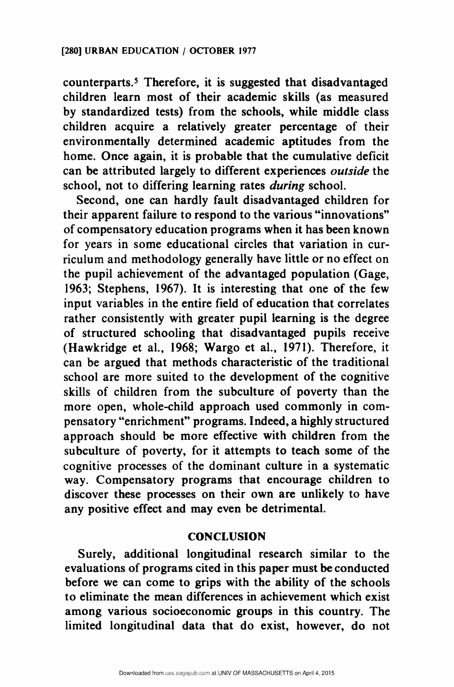counterparts. Therefore, it is suggested that disadvantaged children learn most of their academic skills (as measured by standardized tests) from the schools, while middle class children acquire a relatively greater percentage of their environmentally determined academic aptitudes from the home. Once again, it is probable that the cumulative deficit can be attributed largely to different experiences outside the school, not to differing learning rates *during* school.

Second, one can hardly fault disadvantaged children for their apparent failure to respond to the various "innovations" of compensatory education programs when it has been known for years in some educational circles that variation in curriculum and methodology generally have little or no effect on the pupil achievement of the advantaged population (Gage, 1963; Stephens, 1967). It is interesting that one of the few input variables in the entire field of education that correlates rather consistently with greater pupil learning is the degree of structured schooling that disadvantaged pupils receive (Hawkridge et al., 1968; Wargo et al., 1971). Therefore, it can be argued that methods characteristic of the traditional school are more suited to the development of the cognitive skills of children from the subculture of poverty than the more open, whole-child approach used commonly in compensatory "enrichment" programs. Indeed, a highly structured approach should be more effective with children from the subculture of poverty, for it attempts to teach some of the cognitive processes of the dominant culture in a systematic way. Compensatory programs that encourage children to discover these processes on their own are unlikely to have any positive effect and may even be detrimental.

#### **CONCLUSION**

Surely, additional longitudinal research similar to the evaluations of programs cited in this paper must be conducted before we can come to grips with the ability of the schools to eliminate the mean differences in achievement which exist among various socioeconomic groups in this country. The limited longitudinal data that do exist, however, do not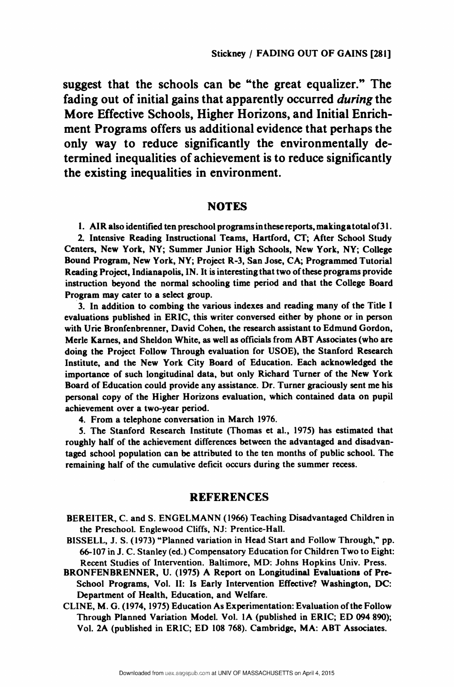suggest that the schools can be "the great equalizer." The fading out of initial gains that apparently occurred *during* the More Effective Schools, Higher Horizons, and Initial Enrichment Programs offers us additional evidence that perhaps the only way to reduce significantly the environmentally determined inequalities of achievement is to reduce significantly the existing inequalities in environment.

#### **NOTES**

1. AIR also identified ten preschool programs inthese reports, makinga total of 31.

2. Intensive Reading Instructional Teams, Hartford, CT; After School Study Centers, New York, NY; Summer Junior High Schools, New York, NY; College Bound Program, New York, NY; Project R-3, San Jose, CA; Programmed Tutorial Reading Project, Indianapolis, IN. It is interesting that two of these programs provide instruction beyond the normal schooling time period and that the College Board Program may cater to a select group.

3. In addition to combing the various indexes and reading many of the Title I evaluations published in ERIC, this writer conversed either by phone or in person with Urie Bronfenbrenner, David Cohen, the research assistant to Edmund Gordon, Merle Karnes, and Sheldon White, as well as officials from ABT Associates (who are doing the Project Follow Through evaluation for USOE), the Stanford Research Institute, and the New York City Board of Education. Each acknowledged the importance of such longitudinal data, but only Richard Turner of the New York Board of Education could provide any assistance. Dr. Turner graciously sent me his personal copy of the Higher Horizons evaluation, which contained data on pupil achievement over a two-year period.

4. From a telephone conversation in March 1976.

5. The Stanford Research Institute (Thomas et al., 1975) has estimated that roughly half of the achievement differences between the advantaged and disadvantaged school population can be attributed to the ten months of public school. The remaining half of the cumulative deficit occurs during the summer recess.

#### REFERENCES

BEREITER, C. and S. ENGELMANN (1966) Teaching Disadvantaged Children in the Preschool. Englewood Cliffs, NJ: Prentice-Hall.

- BISSELL, J. S. (1973) "Planned variation in Head Start and Follow Through," pp. 66-107 in J. C. Stanley (ed.) Compensatory Education for Children Two to Eight: Recent Studies of Intervention. Baltimore, MD: Johns Hopkins Univ. Press.
- BRONFENBRENNER, U. (1975) A Report on Longitudinal Evaluations of Pre-School Programs, Vol. II: Is Early Intervention Effective? Washington, DC: Department of Health, Education, and Welfare.
- CLINE, M. G. (1974, 1975) Education As Experimentation: Evaluation of the Follow Through Planned Variation Model. Vol. 1A (published in ERIC; ED 094 890); Vol. 2A (published in ERIC; ED 108 768). Cambridge, MA: ABT Associates.